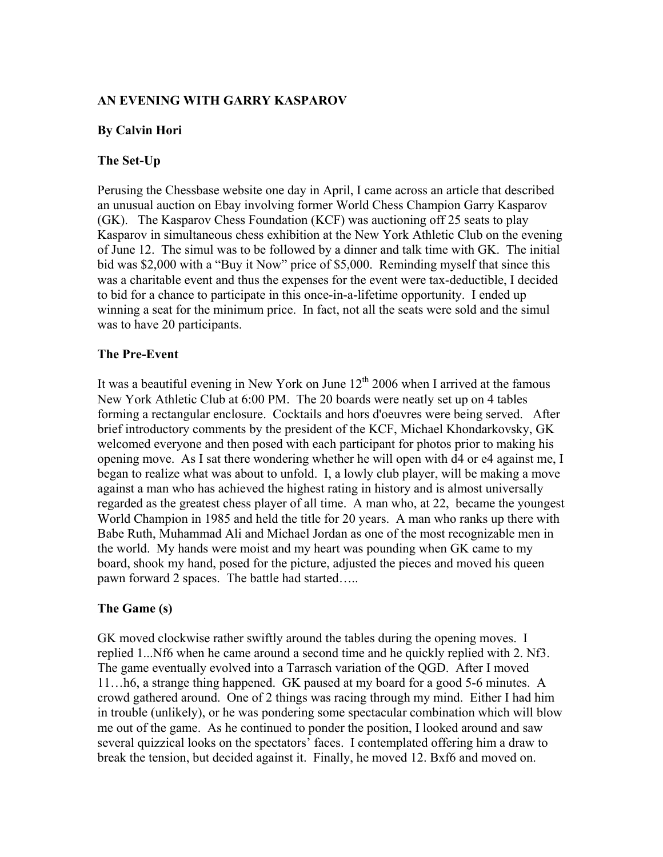### AN EVENING WITH GARRY KASPAROV

### By Calvin Hori

#### The Set-Up

Perusing the Chessbase website one day in April, I came across an article that described an unusual auction on Ebay involving former World Chess Champion Garry Kasparov (GK). The Kasparov Chess Foundation (KCF) was auctioning off 25 seats to play Kasparov in simultaneous chess exhibition at the New York Athletic Club on the evening of June 12. The simul was to be followed by a dinner and talk time with GK. The initial bid was \$2,000 with a "Buy it Now" price of \$5,000. Reminding myself that since this was a charitable event and thus the expenses for the event were tax-deductible, I decided to bid for a chance to participate in this once-in-a-lifetime opportunity. I ended up winning a seat for the minimum price. In fact, not all the seats were sold and the simul was to have 20 participants.

### The Pre-Event

It was a beautiful evening in New York on June  $12<sup>th</sup> 2006$  when I arrived at the famous New York Athletic Club at 6:00 PM. The 20 boards were neatly set up on 4 tables forming a rectangular enclosure. Cocktails and hors d'oeuvres were being served. After brief introductory comments by the president of the KCF, Michael Khondarkovsky, GK welcomed everyone and then posed with each participant for photos prior to making his opening move. As I sat there wondering whether he will open with d4 or e4 against me, I began to realize what was about to unfold. I, a lowly club player, will be making a move against a man who has achieved the highest rating in history and is almost universally regarded as the greatest chess player of all time. A man who, at 22, became the youngest World Champion in 1985 and held the title for 20 years. A man who ranks up there with Babe Ruth, Muhammad Ali and Michael Jordan as one of the most recognizable men in the world. My hands were moist and my heart was pounding when GK came to my board, shook my hand, posed for the picture, adjusted the pieces and moved his queen pawn forward 2 spaces. The battle had started…..

## The Game (s)

GK moved clockwise rather swiftly around the tables during the opening moves. I replied 1...Nf6 when he came around a second time and he quickly replied with 2. Nf3. The game eventually evolved into a Tarrasch variation of the QGD. After I moved 11…h6, a strange thing happened. GK paused at my board for a good 5-6 minutes. A crowd gathered around. One of 2 things was racing through my mind. Either I had him in trouble (unlikely), or he was pondering some spectacular combination which will blow me out of the game. As he continued to ponder the position, I looked around and saw several quizzical looks on the spectators' faces. I contemplated offering him a draw to break the tension, but decided against it. Finally, he moved 12. Bxf6 and moved on.